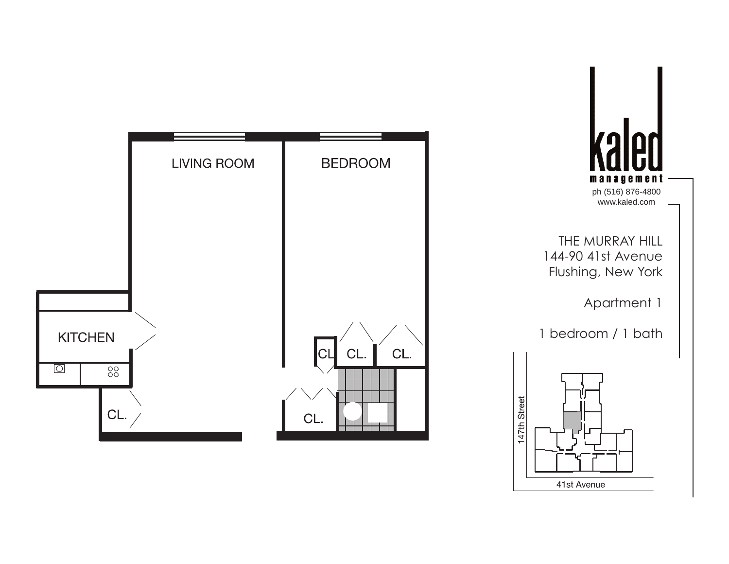

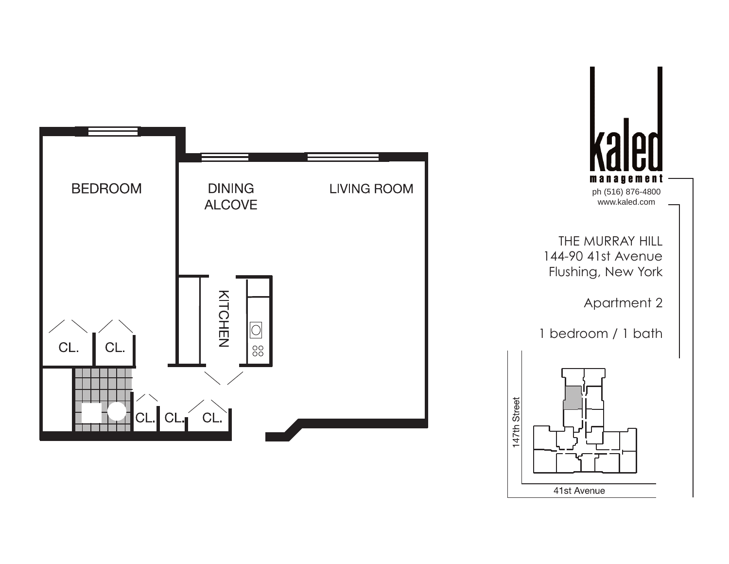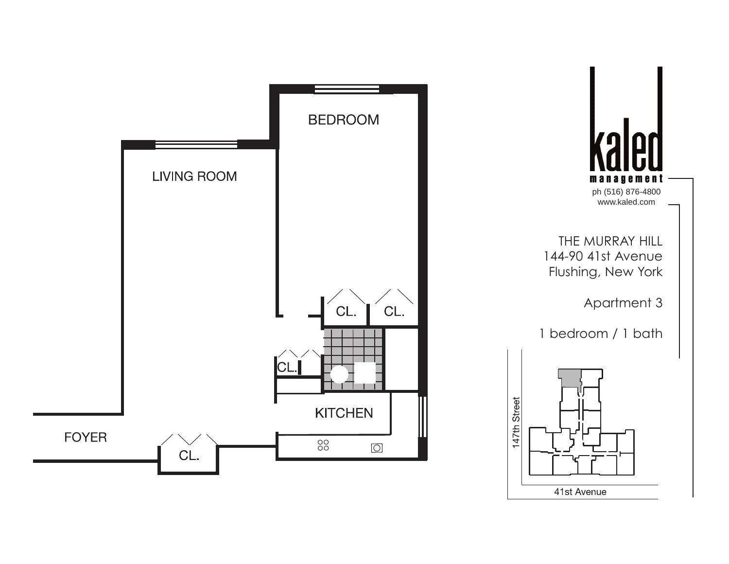

**ZO** management ph (516) 876-4800 www.kaled.com

THE MURRAY HILL 144-90 41st Avenue Flushing, New York

Apartment 3

1 bedroom / 1 bath

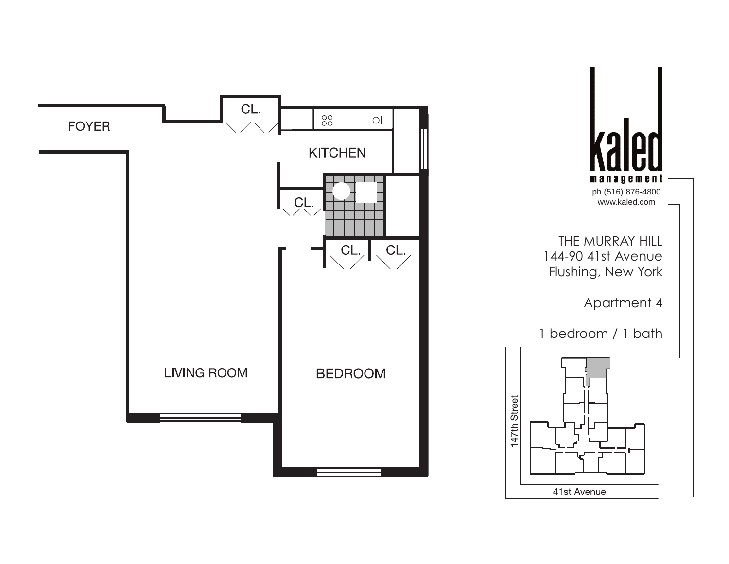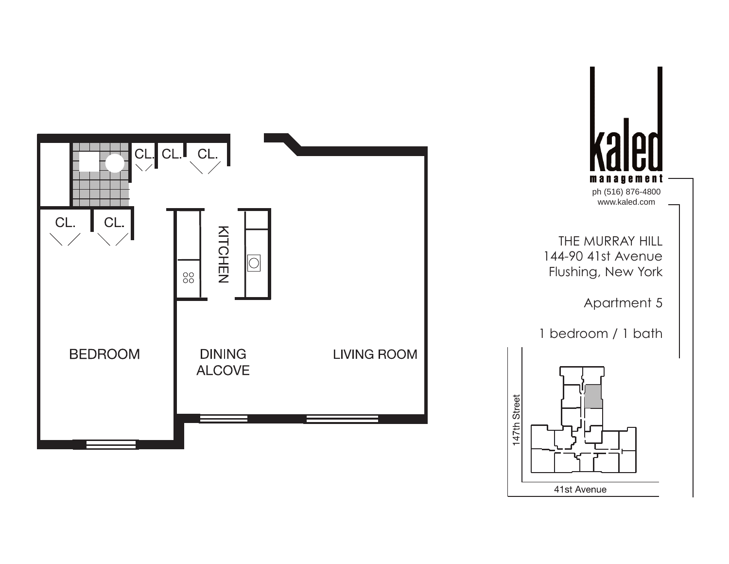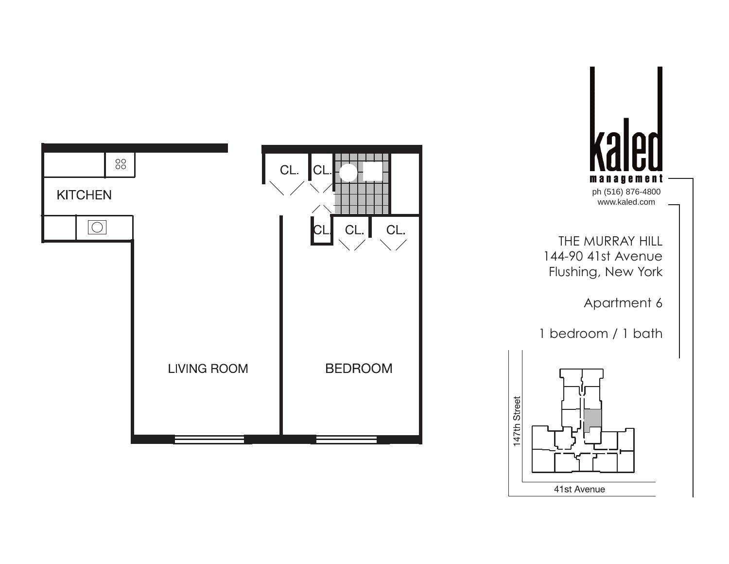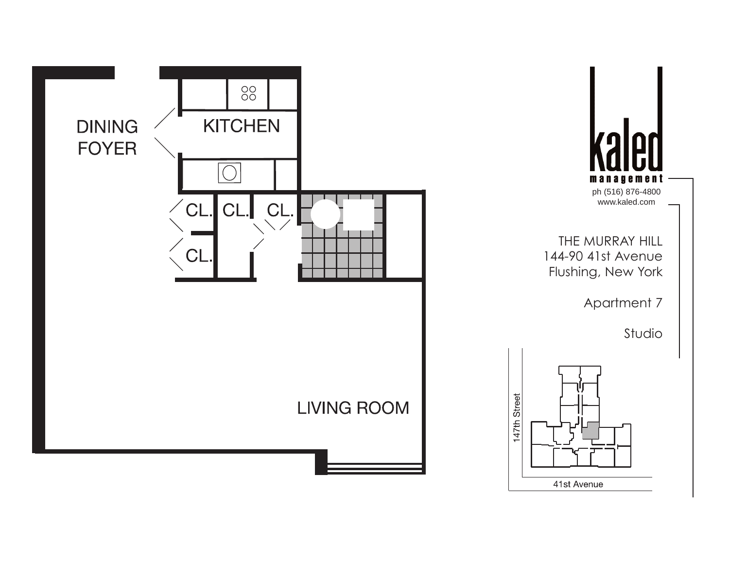

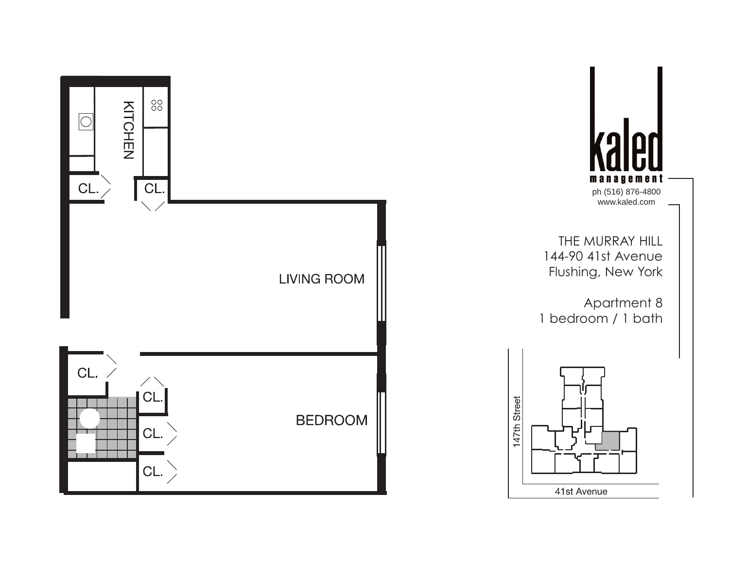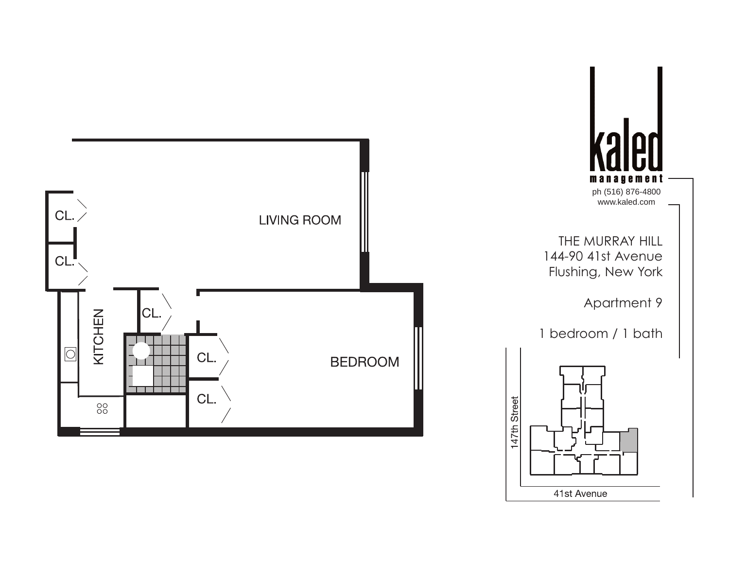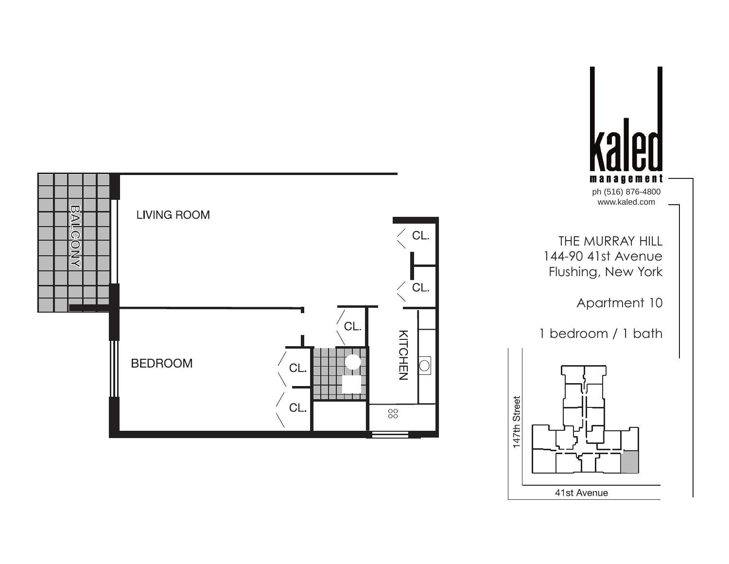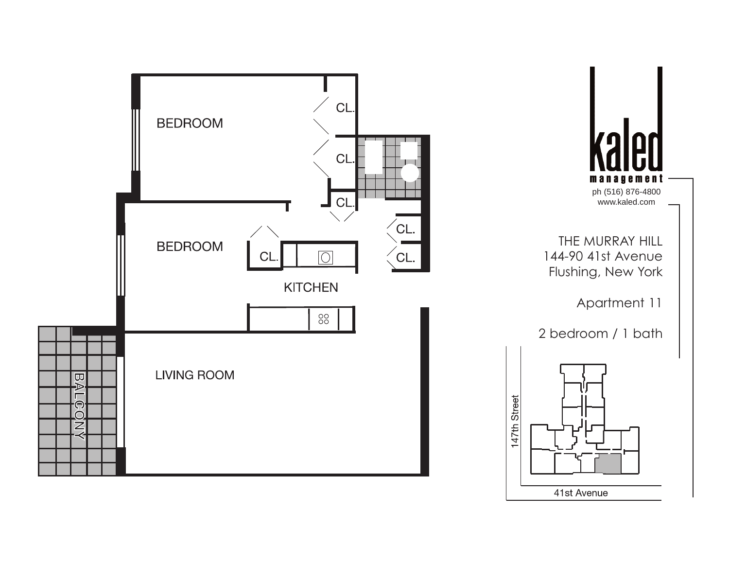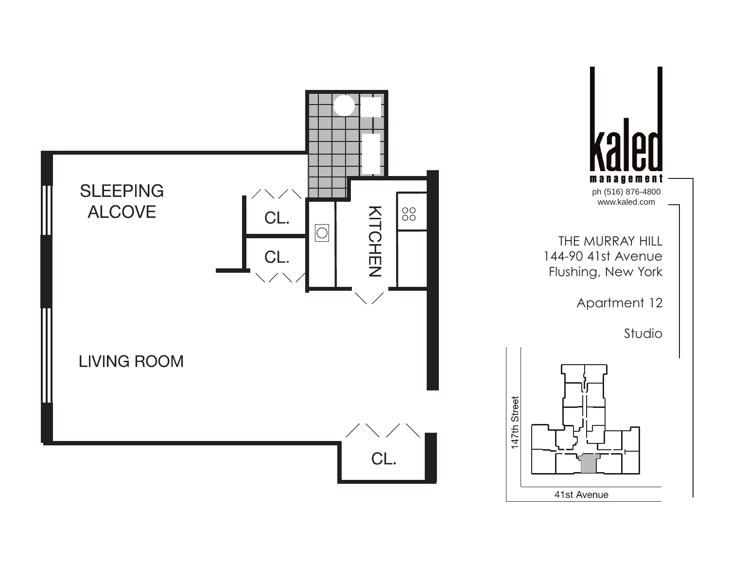



147th Street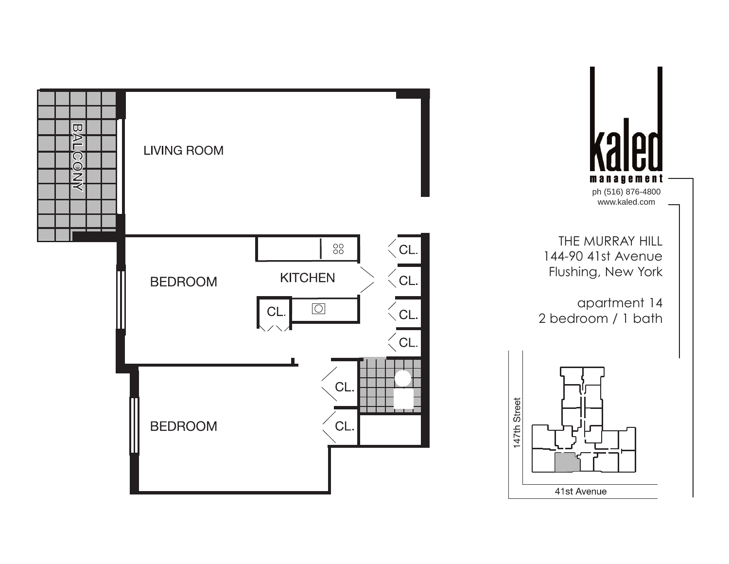

management ph (516) 876-4800 www.kaled.com THE MURRAY HILL 144-90 41st Avenue

**Zol** 

apartment 14 2 bedroom / 1 bath

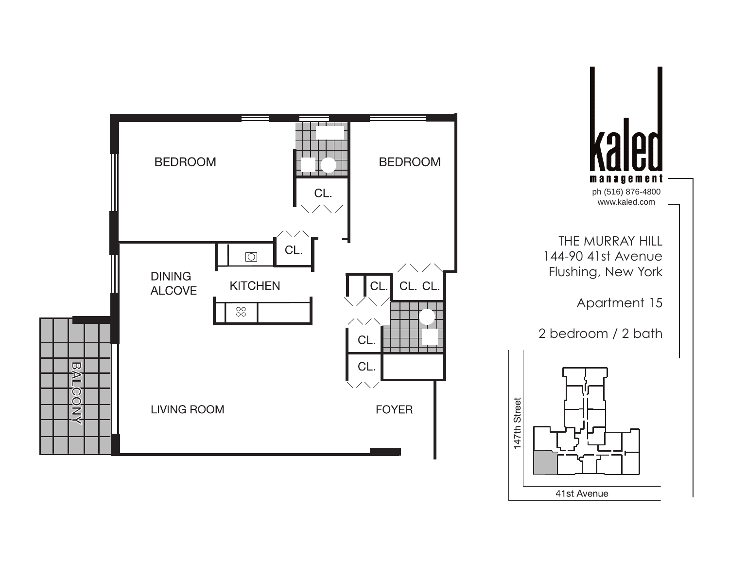



147th Street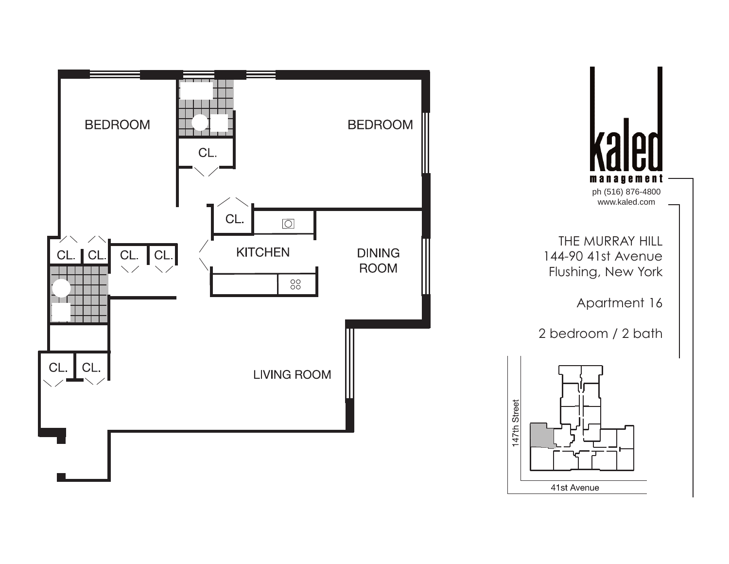



147th Street